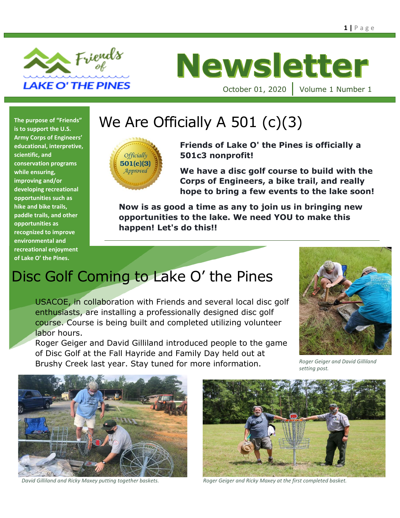

# **Newsletter**

October 01, 2020 | Volume 1 Number 1

**is to support the U.S. Army Corps of Engineers' educational, interpretive, scientific, and conservation programs while ensuring, improving and/or developing recreational opportunities such as hike and bike trails, paddle trails, and other opportunities as recognized to improve environmental and recreational enjoyment of Lake O' the Pines.**

# The purpose of "Friends" | We Are Officially A 501 (c)(3)



**Friends of Lake O' the Pines is officially a 501c3 nonprofit!**

**We have a disc golf course to build with the Corps of Engineers, a bike trail, and really hope to bring a few events to the lake soon!**

**Now is as good a time as any to join us in bringing new opportunities to the lake. We need YOU to make this happen! Let's do this!!**

# Disc Golf Coming to Lake O' the Pines

USACOE, in collaboration with Friends and several local disc golf enthusiasts, are installing a professionally designed disc golf course. Course is being built and completed utilizing volunteer labor hours.

Roger Geiger and David Gilliland introduced people to the game of Disc Golf at the Fall Hayride and Family Day held out at Brushy Creek last year. Stay tuned for more information. *Roger Geiger and David Gilliland* 



*setting post.*





*David Gilliland and Ricky Maxey putting together baskets. Roger Geiger and Ricky Maxey at the first completed basket.*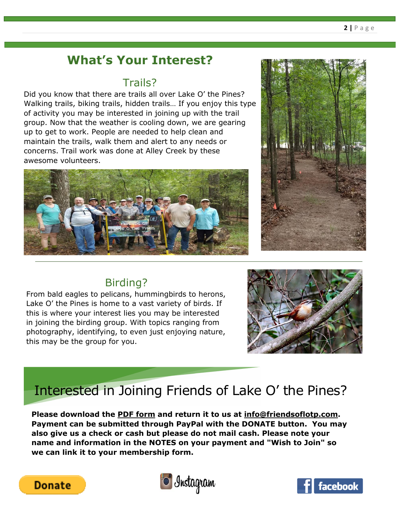## **What's Your Interest?**

#### Trails?

Did you know that there are trails all over Lake O' the Pines? Walking trails, biking trails, hidden trails… If you enjoy this type of activity you may be interested in joining up with the trail group. Now that the weather is cooling down, we are gearing up to get to work. People are needed to help clean and maintain the trails, walk them and alert to any needs or concerns. Trail work was done at Alley Creek by these awesome volunteers.





### Birding?

From bald eagles to pelicans, hummingbirds to herons, Lake O' the Pines is home to a vast variety of birds. If this is where your interest lies you may be interested in joining the birding group. With topics ranging from photography, identifying, to even just enjoying nature, this may be the group for you.



# Interested in Joining Friends of Lake O' the Pines?

**Please download the [PDF form](https://img1.wsimg.com/blobby/go/38e595fe-d0cd-4826-8b52-a3e034905992/downloads/MembershipForm%202020.pdf?ver=1574098225428) and return it to us at [info@friendsoflotp.com.](mailto:info@friendsoflotp.com) Payment can be submitted through PayPal with the DONATE button. You may also give us a check or cash but please do not mail cash. Please note your name and information in the NOTES on your payment and "Wish to Join" so we can link it to your membership form.**